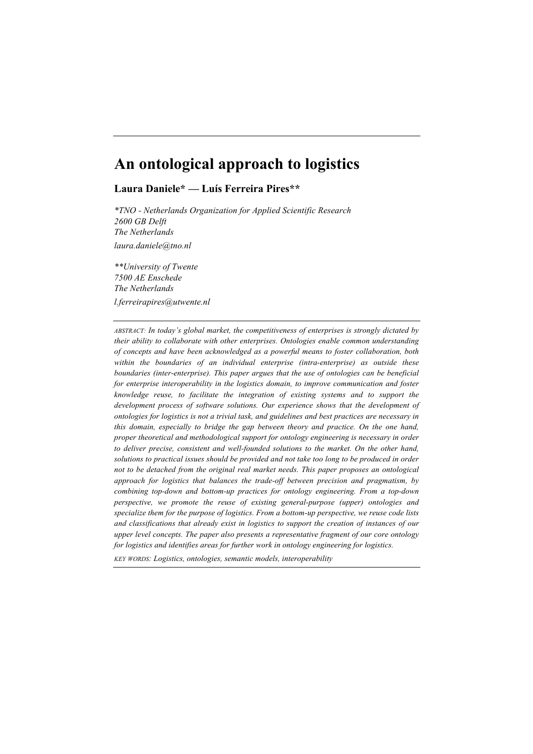# **An ontological approach to logistics**

**Laura Daniele\* — Luís Ferreira Pires\*\***

*\*TNO - Netherlands Organization for Applied Scientific Research 2600 GB Delft The Netherlands laura.daniele@tno.nl*

*\*\*University of Twente 7500 AE Enschede The Netherlands l.ferreirapires@utwente.nl*

*ABSTRACT: In today's global market, the competitiveness of enterprises is strongly dictated by their ability to collaborate with other enterprises. Ontologies enable common understanding of concepts and have been acknowledged as a powerful means to foster collaboration, both within the boundaries of an individual enterprise (intra-enterprise) as outside these boundaries (inter-enterprise). This paper argues that the use of ontologies can be beneficial for enterprise interoperability in the logistics domain, to improve communication and foster knowledge reuse, to facilitate the integration of existing systems and to support the development process of software solutions. Our experience shows that the development of ontologies for logistics is not a trivial task, and guidelines and best practices are necessary in this domain, especially to bridge the gap between theory and practice. On the one hand, proper theoretical and methodological support for ontology engineering is necessary in order to deliver precise, consistent and well-founded solutions to the market. On the other hand, solutions to practical issues should be provided and not take too long to be produced in order not to be detached from the original real market needs. This paper proposes an ontological approach for logistics that balances the trade-off between precision and pragmatism, by combining top-down and bottom-up practices for ontology engineering. From a top-down perspective, we promote the reuse of existing general-purpose (upper) ontologies and specialize them for the purpose of logistics. From a bottom-up perspective, we reuse code lists and classifications that already exist in logistics to support the creation of instances of our upper level concepts. The paper also presents a representative fragment of our core ontology for logistics and identifies areas for further work in ontology engineering for logistics.*

*KEY WORDS: Logistics, ontologies, semantic models, interoperability*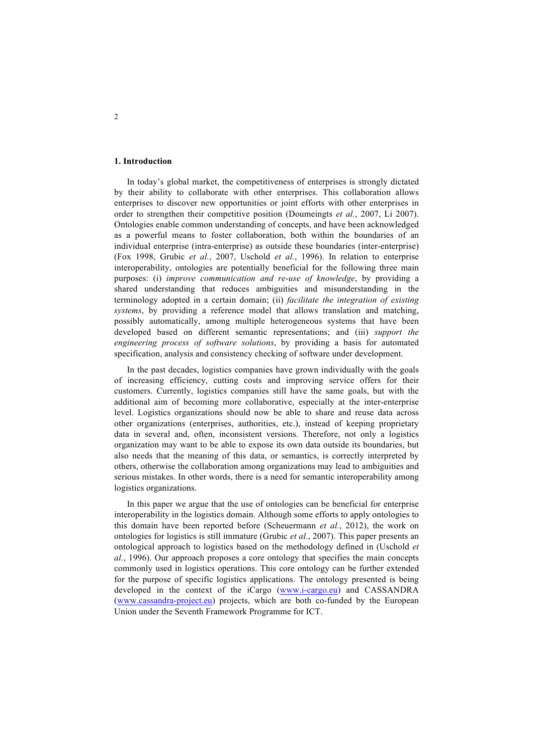## **1. Introduction**

In today's global market, the competitiveness of enterprises is strongly dictated by their ability to collaborate with other enterprises. This collaboration allows enterprises to discover new opportunities or joint efforts with other enterprises in order to strengthen their competitive position (Doumeingts *et al.*, 2007, Li 2007). Ontologies enable common understanding of concepts, and have been acknowledged as a powerful means to foster collaboration, both within the boundaries of an individual enterprise (intra-enterprise) as outside these boundaries (inter-enterprise) (Fox 1998, Grubic *et al.*, 2007, Uschold *et al.*, 1996). In relation to enterprise interoperability, ontologies are potentially beneficial for the following three main purposes: (i) *improve communication and re-use of knowledge*, by providing a shared understanding that reduces ambiguities and misunderstanding in the terminology adopted in a certain domain; (ii) *facilitate the integration of existing systems*, by providing a reference model that allows translation and matching, possibly automatically, among multiple heterogeneous systems that have been developed based on different semantic representations; and (iii) *support the engineering process of software solutions*, by providing a basis for automated specification, analysis and consistency checking of software under development.

In the past decades, logistics companies have grown individually with the goals of increasing efficiency, cutting costs and improving service offers for their customers. Currently, logistics companies still have the same goals, but with the additional aim of becoming more collaborative, especially at the inter-enterprise level. Logistics organizations should now be able to share and reuse data across other organizations (enterprises, authorities, etc.), instead of keeping proprietary data in several and, often, inconsistent versions. Therefore, not only a logistics organization may want to be able to expose its own data outside its boundaries, but also needs that the meaning of this data, or semantics, is correctly interpreted by others, otherwise the collaboration among organizations may lead to ambiguities and serious mistakes. In other words, there is a need for semantic interoperability among logistics organizations.

In this paper we argue that the use of ontologies can be beneficial for enterprise interoperability in the logistics domain. Although some efforts to apply ontologies to this domain have been reported before (Scheuermann *et al.*, 2012), the work on ontologies for logistics is still immature (Grubic *et al.*, 2007). This paper presents an ontological approach to logistics based on the methodology defined in (Uschold *et al.*, 1996). Our approach proposes a core ontology that specifies the main concepts commonly used in logistics operations. This core ontology can be further extended for the purpose of specific logistics applications. The ontology presented is being developed in the context of the iCargo (www.i-cargo.eu) and CASSANDRA (www.cassandra-project.eu) projects, which are both co-funded by the European Union under the Seventh Framework Programme for ICT.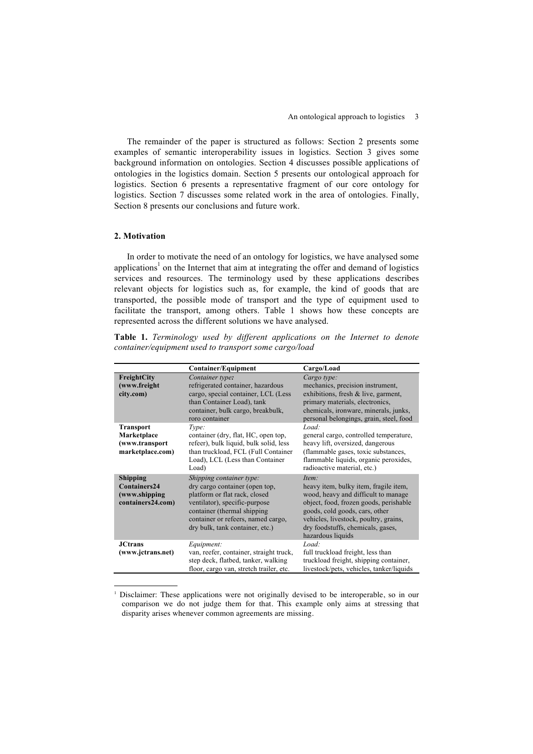The remainder of the paper is structured as follows: Section 2 presents some examples of semantic interoperability issues in logistics. Section 3 gives some background information on ontologies. Section 4 discusses possible applications of ontologies in the logistics domain. Section 5 presents our ontological approach for logistics. Section 6 presents a representative fragment of our core ontology for logistics. Section 7 discusses some related work in the area of ontologies. Finally, Section 8 presents our conclusions and future work.

#### **2. Motivation**

 $\overline{a}$ 

In order to motivate the need of an ontology for logistics, we have analysed some applications<sup>1</sup> on the Internet that aim at integrating the offer and demand of logistics services and resources. The terminology used by these applications describes relevant objects for logistics such as, for example, the kind of goods that are transported, the possible mode of transport and the type of equipment used to facilitate the transport, among others. Table 1 shows how these concepts are represented across the different solutions we have analysed.

|  | <b>Table 1.</b> Terminology used by different applications on the Internet to denote |  |  |  |  |  |
|--|--------------------------------------------------------------------------------------|--|--|--|--|--|
|  | container/equipment used to transport some cargo/load                                |  |  |  |  |  |

|                                                                              | <b>Container/Equipment</b>                                                                                                                                                                                                            | Cargo/Load                                                                                                                                                                                                                                                           |
|------------------------------------------------------------------------------|---------------------------------------------------------------------------------------------------------------------------------------------------------------------------------------------------------------------------------------|----------------------------------------------------------------------------------------------------------------------------------------------------------------------------------------------------------------------------------------------------------------------|
| FreightCity<br>(www.freight)<br>city.com)                                    | Container type:<br>refrigerated container, hazardous<br>cargo, special container, LCL (Less<br>than Container Load), tank<br>container, bulk cargo, breakbulk,<br>roro container                                                      | Cargo type:<br>mechanics, precision instrument,<br>exhibitions, fresh & live, garment,<br>primary materials, electronics,<br>chemicals, ironware, minerals, junks,<br>personal belongings, grain, steel, food                                                        |
| <b>Transport</b><br>Marketplace<br>(www.transport<br>marketplace.com)        | Type:<br>container (dry, flat, HC, open top,<br>refeer), bulk liquid, bulk solid, less<br>than truckload, FCL (Full Container<br>Load), LCL (Less than Container<br>Load)                                                             | Load:<br>general cargo, controlled temperature,<br>heavy lift, oversized, dangerous<br>(flammable gases, toxic substances,<br>flammable liquids, organic peroxides,<br>radioactive material, etc.)                                                                   |
| <b>Shipping</b><br><b>Containers24</b><br>(www.shipping<br>containers24.com) | Shipping container type:<br>dry cargo container (open top,<br>platform or flat rack, closed<br>ventilator), specific-purpose<br>container (thermal shipping)<br>container or refeers, named cargo,<br>dry bulk, tank container, etc.) | Item:<br>heavy item, bulky item, fragile item,<br>wood, heavy and difficult to manage<br>object, food, frozen goods, perishable<br>goods, cold goods, cars, other<br>vehicles, livestock, poultry, grains,<br>dry foodstuffs, chemicals, gases,<br>hazardous liquids |
| <b>JCtrans</b><br>(www.jctrans.net)                                          | Equipment:<br>van, reefer, container, straight truck,<br>step deck, flatbed, tanker, walking<br>floor, cargo van, stretch trailer, etc.                                                                                               | Load <sup>3</sup><br>full truckload freight, less than<br>truckload freight, shipping container,<br>livestock/pets, vehicles, tanker/liquids                                                                                                                         |

<sup>&</sup>lt;sup>1</sup> Disclaimer: These applications were not originally devised to be interoperable, so in our comparison we do not judge them for that. This example only aims at stressing that disparity arises whenever common agreements are missing.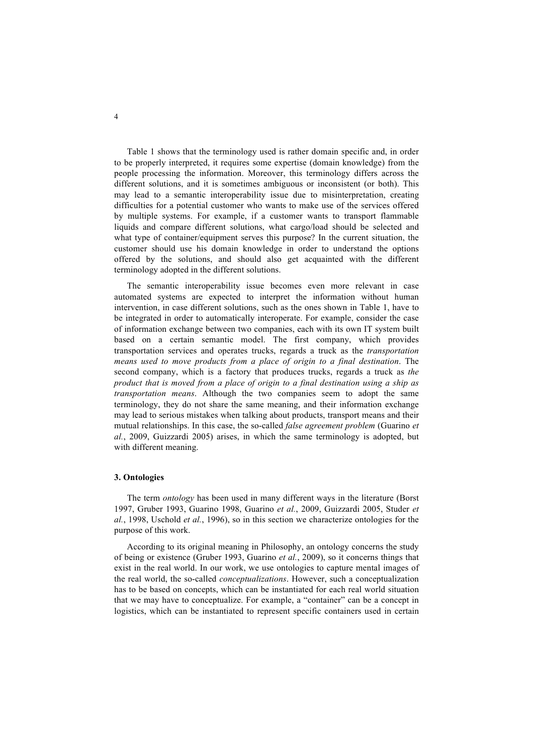Table 1 shows that the terminology used is rather domain specific and, in order to be properly interpreted, it requires some expertise (domain knowledge) from the people processing the information. Moreover, this terminology differs across the different solutions, and it is sometimes ambiguous or inconsistent (or both). This may lead to a semantic interoperability issue due to misinterpretation, creating difficulties for a potential customer who wants to make use of the services offered by multiple systems. For example, if a customer wants to transport flammable liquids and compare different solutions, what cargo/load should be selected and what type of container/equipment serves this purpose? In the current situation, the customer should use his domain knowledge in order to understand the options offered by the solutions, and should also get acquainted with the different terminology adopted in the different solutions.

The semantic interoperability issue becomes even more relevant in case automated systems are expected to interpret the information without human intervention, in case different solutions, such as the ones shown in Table 1, have to be integrated in order to automatically interoperate. For example, consider the case of information exchange between two companies, each with its own IT system built based on a certain semantic model. The first company, which provides transportation services and operates trucks, regards a truck as the *transportation means used to move products from a place of origin to a final destination*. The second company, which is a factory that produces trucks, regards a truck as *the product that is moved from a place of origin to a final destination using a ship as transportation means*. Although the two companies seem to adopt the same terminology, they do not share the same meaning, and their information exchange may lead to serious mistakes when talking about products, transport means and their mutual relationships. In this case, the so-called *false agreement problem* (Guarino *et al.*, 2009, Guizzardi 2005) arises, in which the same terminology is adopted, but with different meaning.

### **3. Ontologies**

The term *ontology* has been used in many different ways in the literature (Borst 1997, Gruber 1993, Guarino 1998, Guarino *et al.*, 2009, Guizzardi 2005, Studer *et al.*, 1998, Uschold *et al.*, 1996), so in this section we characterize ontologies for the purpose of this work.

According to its original meaning in Philosophy, an ontology concerns the study of being or existence (Gruber 1993, Guarino *et al.*, 2009), so it concerns things that exist in the real world. In our work, we use ontologies to capture mental images of the real world, the so-called *conceptualizations*. However, such a conceptualization has to be based on concepts, which can be instantiated for each real world situation that we may have to conceptualize. For example, a "container" can be a concept in logistics, which can be instantiated to represent specific containers used in certain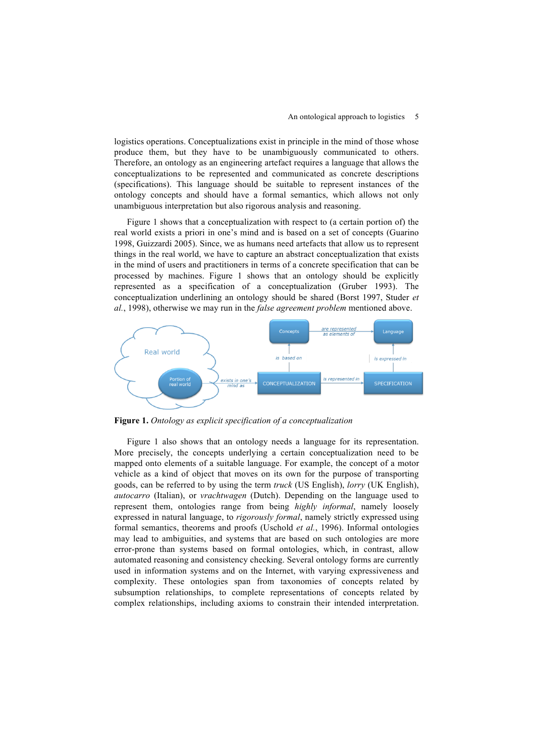logistics operations. Conceptualizations exist in principle in the mind of those whose produce them, but they have to be unambiguously communicated to others. Therefore, an ontology as an engineering artefact requires a language that allows the conceptualizations to be represented and communicated as concrete descriptions (specifications). This language should be suitable to represent instances of the ontology concepts and should have a formal semantics, which allows not only unambiguous interpretation but also rigorous analysis and reasoning.

Figure 1 shows that a conceptualization with respect to (a certain portion of) the real world exists a priori in one's mind and is based on a set of concepts (Guarino 1998, Guizzardi 2005). Since, we as humans need artefacts that allow us to represent things in the real world, we have to capture an abstract conceptualization that exists in the mind of users and practitioners in terms of a concrete specification that can be processed by machines. Figure 1 shows that an ontology should be explicitly represented as a specification of a conceptualization (Gruber 1993). The conceptualization underlining an ontology should be shared (Borst 1997, Studer *et al.*, 1998), otherwise we may run in the *false agreement problem* mentioned above.



**Figure 1.** *Ontology as explicit specification of a conceptualization*

Figure 1 also shows that an ontology needs a language for its representation. More precisely, the concepts underlying a certain conceptualization need to be mapped onto elements of a suitable language. For example, the concept of a motor vehicle as a kind of object that moves on its own for the purpose of transporting goods, can be referred to by using the term *truck* (US English), *lorry* (UK English), *autocarro* (Italian), or *vrachtwagen* (Dutch). Depending on the language used to represent them, ontologies range from being *highly informal*, namely loosely expressed in natural language, to *rigorously formal*, namely strictly expressed using formal semantics, theorems and proofs (Uschold *et al.*, 1996). Informal ontologies may lead to ambiguities, and systems that are based on such ontologies are more error-prone than systems based on formal ontologies, which, in contrast, allow automated reasoning and consistency checking. Several ontology forms are currently used in information systems and on the Internet, with varying expressiveness and complexity. These ontologies span from taxonomies of concepts related by subsumption relationships, to complete representations of concepts related by complex relationships, including axioms to constrain their intended interpretation.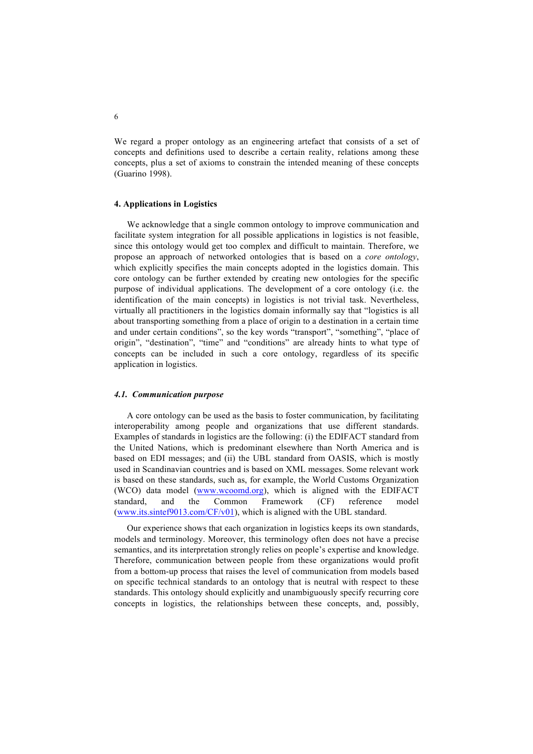We regard a proper ontology as an engineering artefact that consists of a set of concepts and definitions used to describe a certain reality, relations among these concepts, plus a set of axioms to constrain the intended meaning of these concepts (Guarino 1998).

### **4. Applications in Logistics**

We acknowledge that a single common ontology to improve communication and facilitate system integration for all possible applications in logistics is not feasible, since this ontology would get too complex and difficult to maintain. Therefore, we propose an approach of networked ontologies that is based on a *core ontology*, which explicitly specifies the main concepts adopted in the logistics domain. This core ontology can be further extended by creating new ontologies for the specific purpose of individual applications. The development of a core ontology (i.e. the identification of the main concepts) in logistics is not trivial task. Nevertheless, virtually all practitioners in the logistics domain informally say that "logistics is all about transporting something from a place of origin to a destination in a certain time and under certain conditions", so the key words "transport", "something", "place of origin", "destination", "time" and "conditions" are already hints to what type of concepts can be included in such a core ontology, regardless of its specific application in logistics.

### *4.1. Communication purpose*

A core ontology can be used as the basis to foster communication, by facilitating interoperability among people and organizations that use different standards. Examples of standards in logistics are the following: (i) the EDIFACT standard from the United Nations, which is predominant elsewhere than North America and is based on EDI messages; and (ii) the UBL standard from OASIS, which is mostly used in Scandinavian countries and is based on XML messages. Some relevant work is based on these standards, such as, for example, the World Customs Organization (WCO) data model (www.wcoomd.org), which is aligned with the EDIFACT standard, and the Common Framework (CF) reference model (www.its.sintef9013.com/CF/v01), which is aligned with the UBL standard.

Our experience shows that each organization in logistics keeps its own standards, models and terminology. Moreover, this terminology often does not have a precise semantics, and its interpretation strongly relies on people's expertise and knowledge. Therefore, communication between people from these organizations would profit from a bottom-up process that raises the level of communication from models based on specific technical standards to an ontology that is neutral with respect to these standards. This ontology should explicitly and unambiguously specify recurring core concepts in logistics, the relationships between these concepts, and, possibly,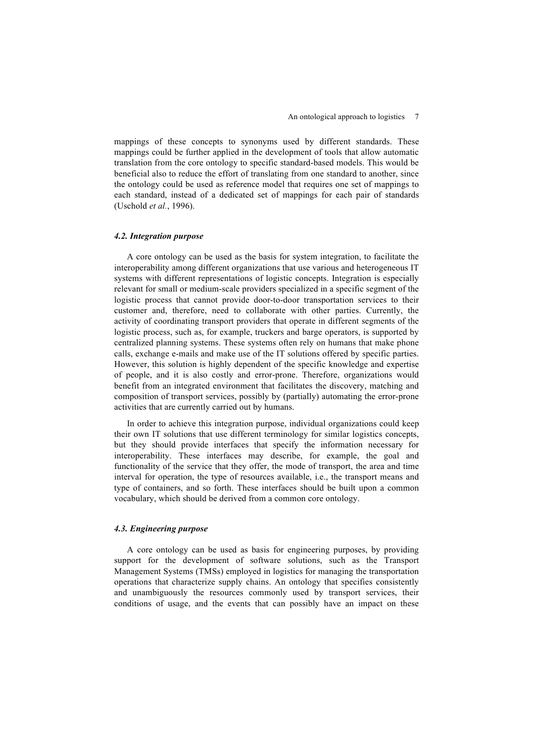mappings of these concepts to synonyms used by different standards. These mappings could be further applied in the development of tools that allow automatic translation from the core ontology to specific standard-based models. This would be beneficial also to reduce the effort of translating from one standard to another, since the ontology could be used as reference model that requires one set of mappings to each standard, instead of a dedicated set of mappings for each pair of standards (Uschold *et al.*, 1996).

### *4.2. Integration purpose*

A core ontology can be used as the basis for system integration, to facilitate the interoperability among different organizations that use various and heterogeneous IT systems with different representations of logistic concepts. Integration is especially relevant for small or medium-scale providers specialized in a specific segment of the logistic process that cannot provide door-to-door transportation services to their customer and, therefore, need to collaborate with other parties. Currently, the activity of coordinating transport providers that operate in different segments of the logistic process, such as, for example, truckers and barge operators, is supported by centralized planning systems. These systems often rely on humans that make phone calls, exchange e-mails and make use of the IT solutions offered by specific parties. However, this solution is highly dependent of the specific knowledge and expertise of people, and it is also costly and error-prone. Therefore, organizations would benefit from an integrated environment that facilitates the discovery, matching and composition of transport services, possibly by (partially) automating the error-prone activities that are currently carried out by humans.

In order to achieve this integration purpose, individual organizations could keep their own IT solutions that use different terminology for similar logistics concepts, but they should provide interfaces that specify the information necessary for interoperability. These interfaces may describe, for example, the goal and functionality of the service that they offer, the mode of transport, the area and time interval for operation, the type of resources available, i.e., the transport means and type of containers, and so forth. These interfaces should be built upon a common vocabulary, which should be derived from a common core ontology.

#### *4.3. Engineering purpose*

A core ontology can be used as basis for engineering purposes, by providing support for the development of software solutions, such as the Transport Management Systems (TMSs) employed in logistics for managing the transportation operations that characterize supply chains. An ontology that specifies consistently and unambiguously the resources commonly used by transport services, their conditions of usage, and the events that can possibly have an impact on these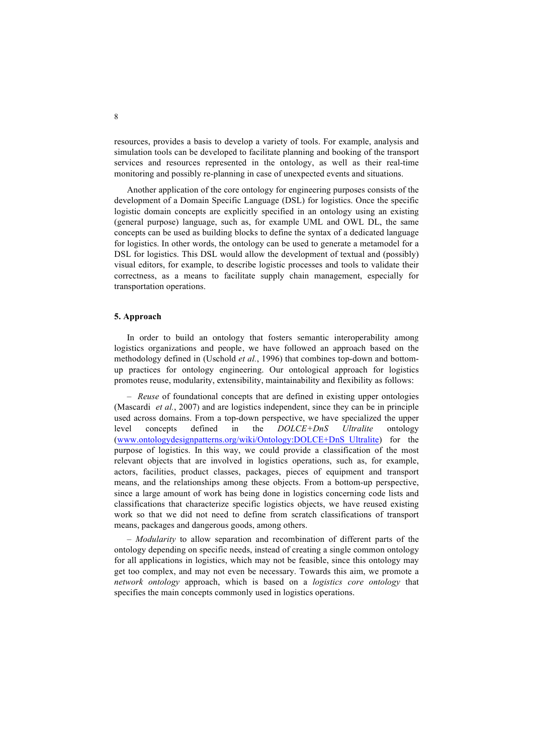resources, provides a basis to develop a variety of tools. For example, analysis and simulation tools can be developed to facilitate planning and booking of the transport services and resources represented in the ontology, as well as their real-time monitoring and possibly re-planning in case of unexpected events and situations.

Another application of the core ontology for engineering purposes consists of the development of a Domain Specific Language (DSL) for logistics. Once the specific logistic domain concepts are explicitly specified in an ontology using an existing (general purpose) language, such as, for example UML and OWL DL, the same concepts can be used as building blocks to define the syntax of a dedicated language for logistics. In other words, the ontology can be used to generate a metamodel for a DSL for logistics. This DSL would allow the development of textual and (possibly) visual editors, for example, to describe logistic processes and tools to validate their correctness, as a means to facilitate supply chain management, especially for transportation operations.

### **5. Approach**

In order to build an ontology that fosters semantic interoperability among logistics organizations and people, we have followed an approach based on the methodology defined in (Uschold *et al.*, 1996) that combines top-down and bottomup practices for ontology engineering. Our ontological approach for logistics promotes reuse, modularity, extensibility, maintainability and flexibility as follows:

– *Reuse* of foundational concepts that are defined in existing upper ontologies (Mascardi *et al.*, 2007) and are logistics independent, since they can be in principle used across domains. From a top-down perspective, we have specialized the upper level concepts defined in the *DOLCE+DnS Ultralite* ontology (www.ontologydesignpatterns.org/wiki/Ontology:DOLCE+DnS\_Ultralite) for the purpose of logistics. In this way, we could provide a classification of the most relevant objects that are involved in logistics operations, such as, for example, actors, facilities, product classes, packages, pieces of equipment and transport means, and the relationships among these objects. From a bottom-up perspective, since a large amount of work has being done in logistics concerning code lists and classifications that characterize specific logistics objects, we have reused existing work so that we did not need to define from scratch classifications of transport means, packages and dangerous goods, among others.

– *Modularity* to allow separation and recombination of different parts of the ontology depending on specific needs, instead of creating a single common ontology for all applications in logistics, which may not be feasible, since this ontology may get too complex, and may not even be necessary. Towards this aim, we promote a *network ontology* approach, which is based on a *logistics core ontology* that specifies the main concepts commonly used in logistics operations.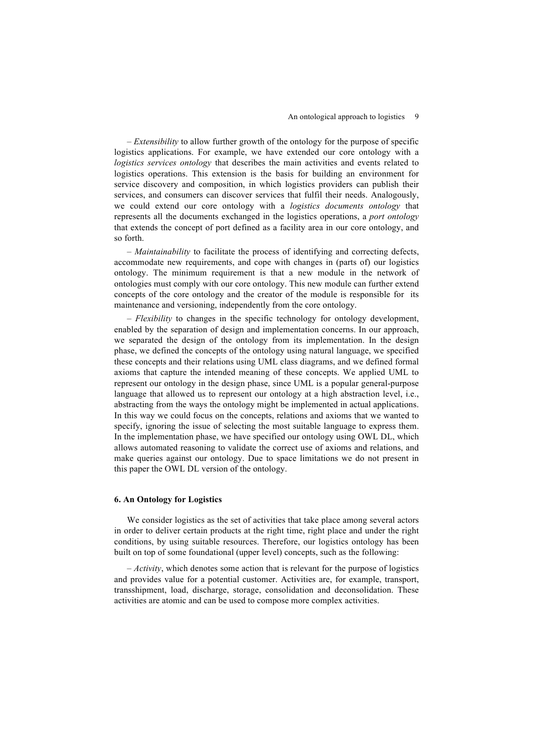– *Extensibility* to allow further growth of the ontology for the purpose of specific logistics applications. For example, we have extended our core ontology with a *logistics services ontology* that describes the main activities and events related to logistics operations. This extension is the basis for building an environment for service discovery and composition, in which logistics providers can publish their services, and consumers can discover services that fulfil their needs. Analogously, we could extend our core ontology with a *logistics documents ontology* that represents all the documents exchanged in the logistics operations, a *port ontology* that extends the concept of port defined as a facility area in our core ontology, and so forth.

– *Maintainability* to facilitate the process of identifying and correcting defects, accommodate new requirements, and cope with changes in (parts of) our logistics ontology. The minimum requirement is that a new module in the network of ontologies must comply with our core ontology. This new module can further extend concepts of the core ontology and the creator of the module is responsible for its maintenance and versioning, independently from the core ontology.

– *Flexibility* to changes in the specific technology for ontology development, enabled by the separation of design and implementation concerns. In our approach, we separated the design of the ontology from its implementation. In the design phase, we defined the concepts of the ontology using natural language, we specified these concepts and their relations using UML class diagrams, and we defined formal axioms that capture the intended meaning of these concepts. We applied UML to represent our ontology in the design phase, since UML is a popular general-purpose language that allowed us to represent our ontology at a high abstraction level, i.e., abstracting from the ways the ontology might be implemented in actual applications. In this way we could focus on the concepts, relations and axioms that we wanted to specify, ignoring the issue of selecting the most suitable language to express them. In the implementation phase, we have specified our ontology using OWL DL, which allows automated reasoning to validate the correct use of axioms and relations, and make queries against our ontology. Due to space limitations we do not present in this paper the OWL DL version of the ontology.

#### **6. An Ontology for Logistics**

We consider logistics as the set of activities that take place among several actors in order to deliver certain products at the right time, right place and under the right conditions, by using suitable resources. Therefore, our logistics ontology has been built on top of some foundational (upper level) concepts, such as the following:

– *Activity*, which denotes some action that is relevant for the purpose of logistics and provides value for a potential customer. Activities are, for example, transport, transshipment, load, discharge, storage, consolidation and deconsolidation. These activities are atomic and can be used to compose more complex activities.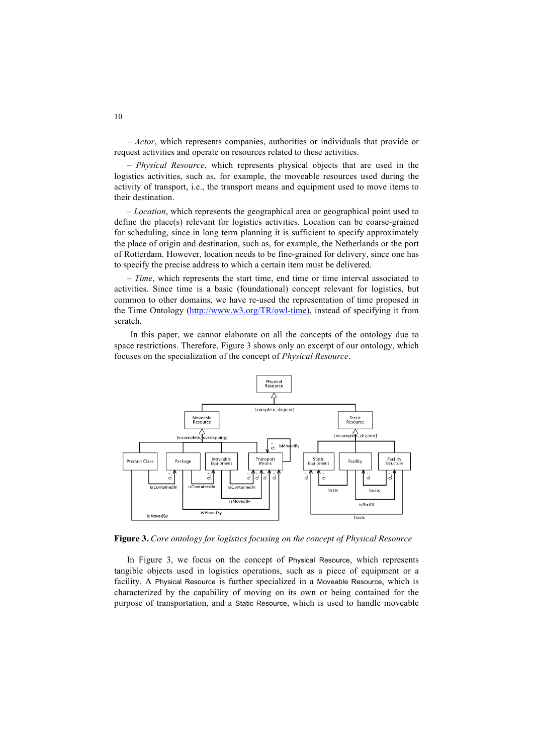– *Actor*, which represents companies, authorities or individuals that provide or request activities and operate on resources related to these activities.

– *Physical Resource*, which represents physical objects that are used in the logistics activities, such as, for example, the moveable resources used during the activity of transport, i.e., the transport means and equipment used to move items to their destination.

– *Location*, which represents the geographical area or geographical point used to define the place(s) relevant for logistics activities. Location can be coarse-grained for scheduling, since in long term planning it is sufficient to specify approximately the place of origin and destination, such as, for example, the Netherlands or the port of Rotterdam. However, location needs to be fine-grained for delivery, since one has to specify the precise address to which a certain item must be delivered.

– *Time*, which represents the start time, end time or time interval associated to activities. Since time is a basic (foundational) concept relevant for logistics, but common to other domains, we have re-used the representation of time proposed in the Time Ontology (http://www.w3.org/TR/owl-time), instead of specifying it from scratch.

In this paper, we cannot elaborate on all the concepts of the ontology due to space restrictions. Therefore, Figure 3 shows only an excerpt of our ontology, which focuses on the specialization of the concept of *Physical Resource*.



**Figure 3.** *Core ontology for logistics focusing on the concept of Physical Resource*

In Figure 3, we focus on the concept of Physical Resource, which represents tangible objects used in logistics operations, such as a piece of equipment or a facility. A Physical Resource is further specialized in a Moveable Resource, which is characterized by the capability of moving on its own or being contained for the purpose of transportation, and a Static Resource, which is used to handle moveable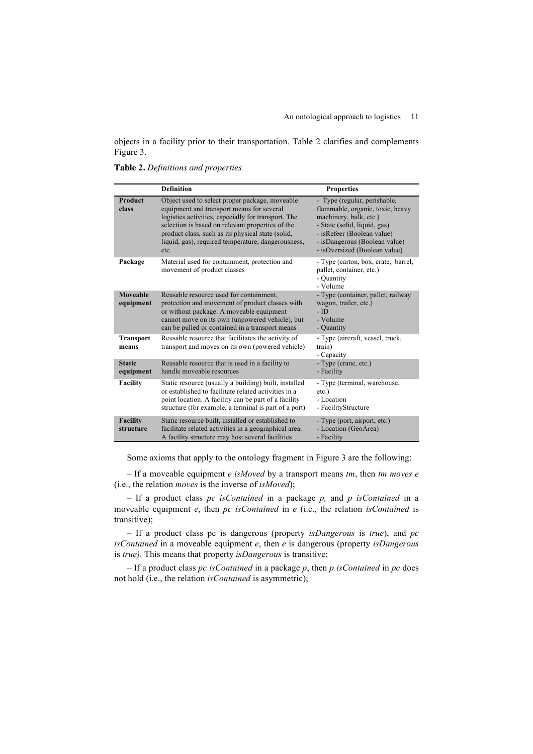objects in a facility prior to their transportation. Table 2 clarifies and complements Figure 3.

**Table 2.** *Definitions and properties*

|                              | <b>Definition</b>                                                                                                                                                                                                                                                                                                         | <b>Properties</b>                                                                                                                                                                                                          |
|------------------------------|---------------------------------------------------------------------------------------------------------------------------------------------------------------------------------------------------------------------------------------------------------------------------------------------------------------------------|----------------------------------------------------------------------------------------------------------------------------------------------------------------------------------------------------------------------------|
| <b>Product</b><br>class      | Object used to select proper package, moveable<br>equipment and transport means for several<br>logistics activities, especially for transport. The<br>selection is based on relevant properties of the<br>product class, such as its physical state (solid,<br>liquid, gas), required temperature, dangerousness,<br>etc. | - Type (regular, perishable,<br>flammable, organic, toxic, heavy<br>machinery, bulk, etc.)<br>- State (solid, liquid, gas)<br>- isRefeer (Boolean value)<br>- isDangerous (Boolean value)<br>- isOversized (Boolean value) |
| Package                      | Material used for containment, protection and<br>movement of product classes                                                                                                                                                                                                                                              | - Type (carton, box, crate, barrel,<br>pallet, container, etc.)<br>- Quantity<br>- Volume                                                                                                                                  |
| Moveable<br>equipment        | Reusable resource used for containment,<br>protection and movement of product classes with<br>or without package. A moveable equipment<br>cannot move on its own (unpowered vehicle), but<br>can be pulled or contained in a transport means                                                                              | - Type (container, pallet, railway<br>wagon, trailer, etc.)<br>$-$ ID<br>- Volume<br>- Quantity                                                                                                                            |
| <b>Transport</b><br>means    | Reusable resource that facilitates the activity of<br>transport and moves on its own (powered vehicle)                                                                                                                                                                                                                    | - Type (aircraft, vessel, truck,<br>train)<br>- Capacity                                                                                                                                                                   |
| <b>Static</b><br>equipment   | Reusable resource that is used in a facility to<br>handle moveable resources                                                                                                                                                                                                                                              | - Type (crane, etc.)<br>- Facility                                                                                                                                                                                         |
| Facility                     | Static resource (usually a building) built, installed<br>or established to facilitate related activities in a<br>point location. A facility can be part of a facility<br>structure (for example, a terminal is part of a port)                                                                                            | - Type (terminal, warehouse,<br>$etc.$ )<br>- Location<br>- FacilityStructure                                                                                                                                              |
| <b>Facility</b><br>structure | Static resource built, installed or established to<br>facilitate related activities in a geographical area.<br>A facility structure may host several facilities                                                                                                                                                           | - Type (port, airport, etc.)<br>- Location (GeoArea)<br>- Facility                                                                                                                                                         |

Some axioms that apply to the ontology fragment in Figure 3 are the following:

– If a moveable equipment *e isMoved* by a transport means *tm*, then *tm moves e* (i.e., the relation *moves* is the inverse of *isMoved*);

– If a product class *pc isContained* in a package *p,* and *p isContained* in a moveable equipment *e*, then *pc isContained* in *e* (i.e., the relation *isContained* is transitive);

– If a product class pc is dangerous (property *isDangerous* is *true*), and *pc isContained* in a moveable equipment *e*, then *e* is dangerous (property *isDangerous* is *true)*. This means that property *isDangerous* is transitive;

– If a product class *pc isContained* in a package *p*, then *p isContained* in *pc* does not hold (i.e., the relation *isContained* is asymmetric);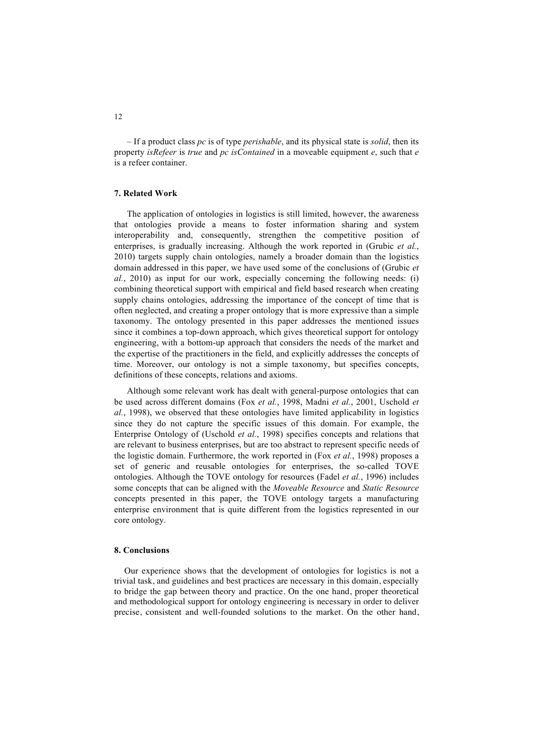– If a product class *pc* is of type *perishable*, and its physical state is *solid*, then its property *isRefeer* is *true* and *pc isContained* in a moveable equipment *e*, such that *e* is a refeer container.

#### **7. Related Work**

The application of ontologies in logistics is still limited, however, the awareness that ontologies provide a means to foster information sharing and system interoperability and, consequently, strengthen the competitive position of enterprises, is gradually increasing. Although the work reported in (Grubic *et al.*, 2010) targets supply chain ontologies, namely a broader domain than the logistics domain addressed in this paper, we have used some of the conclusions of (Grubic *et al.*, 2010) as input for our work, especially concerning the following needs: (i) combining theoretical support with empirical and field based research when creating supply chains ontologies, addressing the importance of the concept of time that is often neglected, and creating a proper ontology that is more expressive than a simple taxonomy. The ontology presented in this paper addresses the mentioned issues since it combines a top-down approach, which gives theoretical support for ontology engineering, with a bottom-up approach that considers the needs of the market and the expertise of the practitioners in the field, and explicitly addresses the concepts of time. Moreover, our ontology is not a simple taxonomy, but specifies concepts, definitions of these concepts, relations and axioms.

Although some relevant work has dealt with general-purpose ontologies that can be used across different domains (Fox *et al.*, 1998, Madni *et al.*, 2001, Uschold *et al.*, 1998), we observed that these ontologies have limited applicability in logistics since they do not capture the specific issues of this domain. For example, the Enterprise Ontology of (Uschold *et al.*, 1998) specifies concepts and relations that are relevant to business enterprises, but are too abstract to represent specific needs of the logistic domain. Furthermore, the work reported in (Fox *et al.*, 1998) proposes a set of generic and reusable ontologies for enterprises, the so-called TOVE ontologies. Although the TOVE ontology for resources (Fadel *et al.*, 1996) includes some concepts that can be aligned with the *Moveable Resource* and *Static Resource* concepts presented in this paper, the TOVE ontology targets a manufacturing enterprise environment that is quite different from the logistics represented in our core ontology.

### **8. Conclusions**

Our experience shows that the development of ontologies for logistics is not a trivial task, and guidelines and best practices are necessary in this domain, especially to bridge the gap between theory and practice. On the one hand, proper theoretical and methodological support for ontology engineering is necessary in order to deliver precise, consistent and well-founded solutions to the market. On the other hand,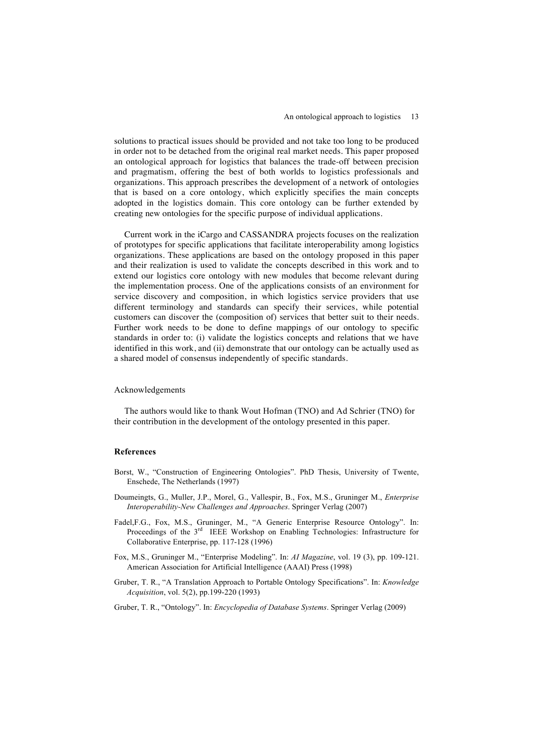solutions to practical issues should be provided and not take too long to be produced in order not to be detached from the original real market needs. This paper proposed an ontological approach for logistics that balances the trade-off between precision and pragmatism, offering the best of both worlds to logistics professionals and organizations. This approach prescribes the development of a network of ontologies that is based on a core ontology, which explicitly specifies the main concepts adopted in the logistics domain. This core ontology can be further extended by creating new ontologies for the specific purpose of individual applications.

Current work in the iCargo and CASSANDRA projects focuses on the realization of prototypes for specific applications that facilitate interoperability among logistics organizations. These applications are based on the ontology proposed in this paper and their realization is used to validate the concepts described in this work and to extend our logistics core ontology with new modules that become relevant during the implementation process. One of the applications consists of an environment for service discovery and composition, in which logistics service providers that use different terminology and standards can specify their services, while potential customers can discover the (composition of) services that better suit to their needs. Further work needs to be done to define mappings of our ontology to specific standards in order to: (i) validate the logistics concepts and relations that we have identified in this work, and (ii) demonstrate that our ontology can be actually used as a shared model of consensus independently of specific standards.

#### Acknowledgements

The authors would like to thank Wout Hofman (TNO) and Ad Schrier (TNO) for their contribution in the development of the ontology presented in this paper.

#### **References**

- Borst, W., "Construction of Engineering Ontologies". PhD Thesis, University of Twente, Enschede, The Netherlands (1997)
- Doumeingts, G., Muller, J.P., Morel, G., Vallespir, B., Fox, M.S., Gruninger M., *Enterprise Interoperability-New Challenges and Approaches*. Springer Verlag (2007)
- Fadel,F.G., Fox, M.S., Gruninger, M., "A Generic Enterprise Resource Ontology". In: Proceedings of the 3<sup>rd</sup> IEEE Workshop on Enabling Technologies: Infrastructure for Collaborative Enterprise, pp. 117-128 (1996)
- Fox, M.S., Gruninger M., "Enterprise Modeling". In: *AI Magazine*, vol. 19 (3), pp. 109-121. American Association for Artificial Intelligence (AAAI) Press (1998)
- Gruber, T. R., "A Translation Approach to Portable Ontology Specifications". In: *Knowledge Acquisition*, vol. 5(2), pp.199-220 (1993)
- Gruber, T. R., "Ontology". In: *Encyclopedia of Database Systems*. Springer Verlag (2009)